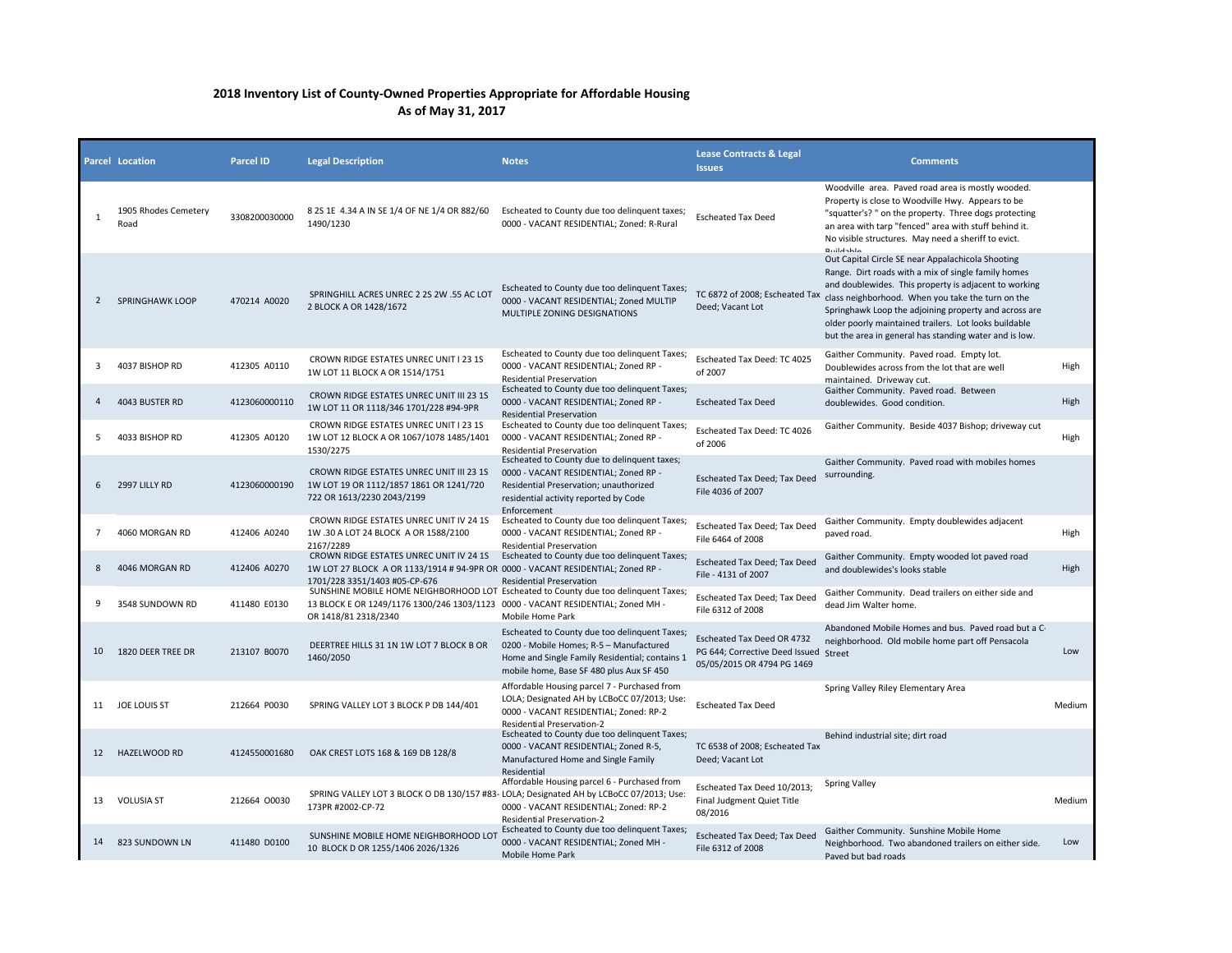## **2018 Inventory List of County-Owned Properties Appropriate for Affordable Housing As of May 31, 2017**

|                | <b>Parcel Location</b>       | <b>Parcel ID</b> | <b>Legal Description</b>                                                                                                                                                                        | <b>Notes</b>                                                                                                                                                                           | <b>Lease Contracts &amp; Legal</b><br><b>Issues</b>                                               | <b>Comments</b>                                                                                                                                                                                                                                                                                                                                                                                                                   |        |
|----------------|------------------------------|------------------|-------------------------------------------------------------------------------------------------------------------------------------------------------------------------------------------------|----------------------------------------------------------------------------------------------------------------------------------------------------------------------------------------|---------------------------------------------------------------------------------------------------|-----------------------------------------------------------------------------------------------------------------------------------------------------------------------------------------------------------------------------------------------------------------------------------------------------------------------------------------------------------------------------------------------------------------------------------|--------|
| 1              | 1905 Rhodes Cemetery<br>Road | 3308200030000    | 8 2S 1E 4.34 A IN SE 1/4 OF NE 1/4 OR 882/60<br>1490/1230                                                                                                                                       | Escheated to County due too delinquent taxes;<br>0000 - VACANT RESIDENTIAL: Zoned: R-Rural                                                                                             | <b>Escheated Tax Deed</b>                                                                         | Woodville area. Paved road area is mostly wooded.<br>Property is close to Woodville Hwy. Appears to be<br>"squatter's? " on the property. Three dogs protecting<br>an area with tarp "fenced" area with stuff behind it.<br>No visible structures. May need a sheriff to evict.<br><b>Buildable</b>                                                                                                                               |        |
| $\overline{2}$ | <b>SPRINGHAWK LOOP</b>       | 470214 A0020     | SPRINGHILL ACRES UNREC 2 2S 2W .55 AC LOT<br>2 BLOCK A OR 1428/1672                                                                                                                             | Escheated to County due too delinquent Taxes;<br>0000 - VACANT RESIDENTIAL; Zoned MULTIP<br>MULTIPLE ZONING DESIGNATIONS                                                               | Deed; Vacant Lot                                                                                  | Out Capital Circle SE near Appalachicola Shooting<br>Range. Dirt roads with a mix of single family homes<br>and doublewides. This property is adjacent to working<br>TC 6872 of 2008; Escheated Tax class neighborhood. When you take the turn on the<br>Springhawk Loop the adjoining property and across are<br>older poorly maintained trailers. Lot looks buildable<br>but the area in general has standing water and is low. |        |
| 3              | 4037 BISHOP RD               | 412305 A0110     | CROWN RIDGE ESTATES UNREC UNIT I 23 1S<br>1W LOT 11 BLOCK A OR 1514/1751                                                                                                                        | Escheated to County due too delinquent Taxes;<br>0000 - VACANT RESIDENTIAL; Zoned RP -<br><b>Residential Preservation</b>                                                              | Escheated Tax Deed: TC 4025<br>of 2007                                                            | Gaither Community. Paved road. Empty lot.<br>Doublewides across from the lot that are well<br>maintained. Driveway cut.                                                                                                                                                                                                                                                                                                           | High   |
| $\mathbf{A}$   | 4043 BUSTER RD               | 4123060000110    | CROWN RIDGE ESTATES UNREC UNIT III 23 1S<br>1W LOT 11 OR 1118/346 1701/228 #94-9PR                                                                                                              | Escheated to County due too delinquent Taxes;<br>0000 - VACANT RESIDENTIAL; Zoned RP -<br>Residential Preservation                                                                     | <b>Escheated Tax Deed</b>                                                                         | Gaither Community. Paved road. Between<br>doublewides. Good condition.                                                                                                                                                                                                                                                                                                                                                            | High   |
| 5              | 4033 BISHOP RD               | 412305 A0120     | CROWN RIDGE ESTATES UNREC UNIT I 23 1S<br>1W LOT 12 BLOCK A OR 1067/1078 1485/1401<br>1530/2275                                                                                                 | Escheated to County due too delinguent Taxes;<br>0000 - VACANT RESIDENTIAL; Zoned RP -<br><b>Residential Preservation</b>                                                              | Escheated Tax Deed: TC 4026<br>of 2006                                                            | Gaither Community. Beside 4037 Bishop; driveway cut                                                                                                                                                                                                                                                                                                                                                                               | High   |
| 6              | 2997 LILLY RD                | 4123060000190    | CROWN RIDGE ESTATES UNREC UNIT III 23 1S<br>1W LOT 19 OR 1112/1857 1861 OR 1241/720<br>722 OR 1613/2230 2043/2199                                                                               | Escheated to County due to delinquent taxes;<br>0000 - VACANT RESIDENTIAL; Zoned RP -<br>Residential Preservation; unauthorized<br>residential activity reported by Code               | Escheated Tax Deed; Tax Deed<br>File 4036 of 2007                                                 | Gaither Community. Paved road with mobiles homes<br>surrounding.                                                                                                                                                                                                                                                                                                                                                                  |        |
| 7              | 4060 MORGAN RD               | 412406 A0240     | CROWN RIDGE ESTATES UNREC UNIT IV 24 1S<br>1W .30 A LOT 24 BLOCK A OR 1588/2100<br>2167/2289                                                                                                    | Enforcement<br>Escheated to County due too delinquent Taxes;<br>0000 - VACANT RESIDENTIAL; Zoned RP -<br>Residential Preservation                                                      | Escheated Tax Deed; Tax Deed<br>File 6464 of 2008                                                 | Gaither Community. Empty doublewides adjacent<br>paved road.                                                                                                                                                                                                                                                                                                                                                                      | High   |
| 8              | 4046 MORGAN RD               | 412406 A0270     | CROWN RIDGE ESTATES UNREC UNIT IV 24 1S<br>1W LOT 27 BLOCK A OR 1133/1914 # 94-9PR OR 0000 - VACANT RESIDENTIAL; Zoned RP -<br>1701/228 3351/1403 #05-CP-676                                    | Escheated to County due too delinquent Taxes;<br><b>Residential Preservation</b>                                                                                                       | Escheated Tax Deed; Tax Deed<br>File - 4131 of 2007                                               | Gaither Community. Empty wooded lot paved road<br>and doublewides's looks stable                                                                                                                                                                                                                                                                                                                                                  | High   |
| 9              | 3548 SUNDOWN RD              | 411480 E0130     | SUNSHINE MOBILE HOME NEIGHBORHOOD LOT Escheated to County due too delinquent Taxes;<br>13 BLOCK E OR 1249/1176 1300/246 1303/1123 0000 - VACANT RESIDENTIAL; Zoned MH -<br>OR 1418/81 2318/2340 | Mobile Home Park                                                                                                                                                                       | <b>Escheated Tax Deed; Tax Deed</b><br>File 6312 of 2008                                          | Gaither Community. Dead trailers on either side and<br>dead Jim Walter home.                                                                                                                                                                                                                                                                                                                                                      |        |
| 10             | 1820 DEER TREE DR            | 213107 B0070     | DEERTREE HILLS 31 1N 1W LOT 7 BLOCK B OR<br>1460/2050                                                                                                                                           | Escheated to County due too delinquent Taxes;<br>0200 - Mobile Homes; R-5 - Manufactured<br>Home and Single Family Residential; contains 1<br>mobile home, Base SF 480 plus Aux SF 450 | Escheated Tax Deed OR 4732<br>PG 644; Corrective Deed Issued Street<br>05/05/2015 OR 4794 PG 1469 | Abandoned Mobile Homes and bus. Payed road but a C-<br>neighborhood. Old mobile home part off Pensacola                                                                                                                                                                                                                                                                                                                           | Low    |
| 11             | JOE LOUIS ST                 | 212664 P0030     | SPRING VALLEY LOT 3 BLOCK P DB 144/401                                                                                                                                                          | Affordable Housing parcel 7 - Purchased from<br>LOLA; Designated AH by LCBoCC 07/2013; Use:<br>0000 - VACANT RESIDENTIAL; Zoned: RP-2<br><b>Residential Preservation-2</b>             | <b>Escheated Tax Deed</b>                                                                         | Spring Valley Riley Elementary Area                                                                                                                                                                                                                                                                                                                                                                                               | Medium |
| 12             | HAZELWOOD RD                 | 4124550001680    | OAK CREST LOTS 168 & 169 DB 128/8                                                                                                                                                               | Escheated to County due too delinquent Taxes;<br>0000 - VACANT RESIDENTIAL; Zoned R-5,<br>Manufactured Home and Single Family<br>Residential                                           | TC 6538 of 2008; Escheated Tax<br>Deed; Vacant Lot                                                | Behind industrial site; dirt road                                                                                                                                                                                                                                                                                                                                                                                                 |        |
| 13             | <b>VOLUSIA ST</b>            | 212664 00030     | SPRING VALLEY LOT 3 BLOCK O DB 130/157 #8<br>173PR #2002-CP-72                                                                                                                                  | Affordable Housing parcel 6 - Purchased from<br>3- LOLA; Designated AH by LCBoCC 07/2013; Use:<br>0000 - VACANT RESIDENTIAL; Zoned: RP-2<br>Residential Preservation-2                 | Escheated Tax Deed 10/2013;<br>Final Judgment Quiet Title<br>08/2016                              | <b>Spring Valley</b>                                                                                                                                                                                                                                                                                                                                                                                                              | Medium |
| 14             | 823 SUNDOWN LN               | 411480 D0100     | SUNSHINE MOBILE HOME NEIGHBORHOOD LOT<br>10 BLOCK D OR 1255/1406 2026/1326                                                                                                                      | Escheated to County due too delinquent Taxes;<br>0000 - VACANT RESIDENTIAL; Zoned MH -<br>Mobile Home Park                                                                             | Escheated Tax Deed; Tax Deed<br>File 6312 of 2008                                                 | Gaither Community. Sunshine Mobile Home<br>Neighborhood. Two abandoned trailers on either side.<br>Paved but bad roads                                                                                                                                                                                                                                                                                                            | Low    |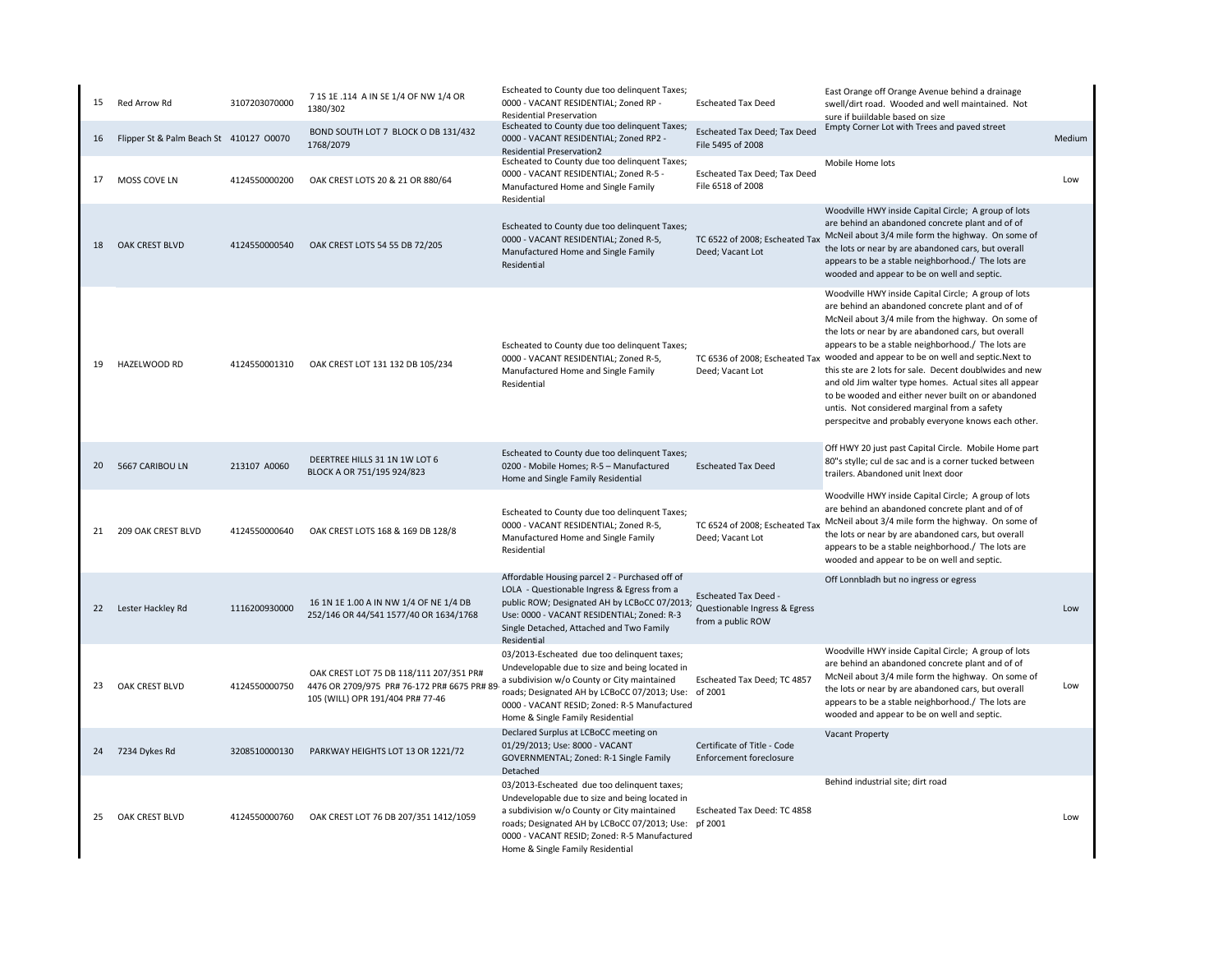| 15 | Red Arrow Rd                            | 3107203070000 | 7 1S 1E .114 A IN SE 1/4 OF NW 1/4 OR<br>1380/302                                                                                                                       | Escheated to County due too delinquent Taxes;<br>0000 - VACANT RESIDENTIAL; Zoned RP -<br><b>Residential Preservation</b>                                                                                                                                                                | <b>Escheated Tax Deed</b>                                     | East Orange off Orange Avenue behind a drainage<br>swell/dirt road. Wooded and well maintained. Not<br>sure if buiildable based on size                                                                                                                                                                                                                                                                                                                                                                                                                                                                                                              |        |
|----|-----------------------------------------|---------------|-------------------------------------------------------------------------------------------------------------------------------------------------------------------------|------------------------------------------------------------------------------------------------------------------------------------------------------------------------------------------------------------------------------------------------------------------------------------------|---------------------------------------------------------------|------------------------------------------------------------------------------------------------------------------------------------------------------------------------------------------------------------------------------------------------------------------------------------------------------------------------------------------------------------------------------------------------------------------------------------------------------------------------------------------------------------------------------------------------------------------------------------------------------------------------------------------------------|--------|
| 16 | Flipper St & Palm Beach St 410127 00070 |               | BOND SOUTH LOT 7 BLOCK O DB 131/432<br>1768/2079                                                                                                                        | Escheated to County due too delinquent Taxes;<br>0000 - VACANT RESIDENTIAL; Zoned RP2 -<br><b>Residential Preservation2</b>                                                                                                                                                              | Escheated Tax Deed; Tax Deed<br>File 5495 of 2008             | Empty Corner Lot with Trees and paved street                                                                                                                                                                                                                                                                                                                                                                                                                                                                                                                                                                                                         | Medium |
| 17 | MOSS COVE LN                            | 4124550000200 | OAK CREST LOTS 20 & 21 OR 880/64                                                                                                                                        | Escheated to County due too delinquent Taxes;<br>0000 - VACANT RESIDENTIAL; Zoned R-5 -<br>Manufactured Home and Single Family<br>Residential                                                                                                                                            | <b>Escheated Tax Deed; Tax Deed</b><br>File 6518 of 2008      | Mobile Home lots                                                                                                                                                                                                                                                                                                                                                                                                                                                                                                                                                                                                                                     | Low    |
| 18 | OAK CREST BLVD                          | 4124550000540 | OAK CREST LOTS 54 55 DB 72/205                                                                                                                                          | Escheated to County due too delinquent Taxes;<br>0000 - VACANT RESIDENTIAL; Zoned R-5,<br>Manufactured Home and Single Family<br>Residential                                                                                                                                             | Deed; Vacant Lot                                              | Woodville HWY inside Capital Circle; A group of lots<br>are behind an abandoned concrete plant and of of<br>TC 6522 of 2008; Escheated Tax McNeil about 3/4 mile form the highway. On some of<br>the lots or near by are abandoned cars, but overall<br>appears to be a stable neighborhood./ The lots are<br>wooded and appear to be on well and septic.                                                                                                                                                                                                                                                                                            |        |
| 19 | HAZELWOOD RD                            | 4124550001310 | OAK CREST LOT 131 132 DB 105/234                                                                                                                                        | Escheated to County due too delinquent Taxes;<br>0000 - VACANT RESIDENTIAL; Zoned R-5,<br>Manufactured Home and Single Family<br>Residential                                                                                                                                             | Deed; Vacant Lot                                              | Woodville HWY inside Capital Circle; A group of lots<br>are behind an abandoned concrete plant and of of<br>McNeil about 3/4 mile from the highway. On some of<br>the lots or near by are abandoned cars, but overall<br>appears to be a stable neighborhood./ The lots are<br>TC 6536 of 2008; Escheated Tax wooded and appear to be on well and septic. Next to<br>this ste are 2 lots for sale. Decent doublwides and new<br>and old Jim walter type homes. Actual sites all appear<br>to be wooded and either never built on or abandoned<br>untis. Not considered marginal from a safety<br>perspecitve and probably everyone knows each other. |        |
| 20 | 5667 CARIBOU LN                         | 213107 A0060  | DEERTREE HILLS 31 1N 1W LOT 6<br>BLOCK A OR 751/195 924/823                                                                                                             | Escheated to County due too delinquent Taxes;<br>0200 - Mobile Homes; R-5 - Manufactured<br>Home and Single Family Residential                                                                                                                                                           | <b>Escheated Tax Deed</b>                                     | Off HWY 20 just past Capital Circle. Mobile Home part<br>80"s stylle; cul de sac and is a corner tucked between<br>trailers. Abandoned unit lnext door                                                                                                                                                                                                                                                                                                                                                                                                                                                                                               |        |
| 21 | 209 OAK CREST BLVD                      | 4124550000640 | OAK CREST LOTS 168 & 169 DB 128/8                                                                                                                                       | Escheated to County due too delinquent Taxes;<br>0000 - VACANT RESIDENTIAL; Zoned R-5,<br>Manufactured Home and Single Family<br>Residential                                                                                                                                             | TC 6524 of 2008; Escheated Tax<br>Deed; Vacant Lot            | Woodville HWY inside Capital Circle; A group of lots<br>are behind an abandoned concrete plant and of of<br>McNeil about 3/4 mile form the highway. On some of<br>the lots or near by are abandoned cars, but overall<br>appears to be a stable neighborhood./ The lots are<br>wooded and appear to be on well and septic.                                                                                                                                                                                                                                                                                                                           |        |
|    | 22 Lester Hackley Rd                    | 1116200930000 | 16 1N 1E 1.00 A IN NW 1/4 OF NE 1/4 DB<br>252/146 OR 44/541 1577/40 OR 1634/1768                                                                                        | Affordable Housing parcel 2 - Purchased off of<br>LOLA - Questionable Ingress & Egress from a<br>public ROW; Designated AH by LCBoCC 07/2013; Countering run = ===<br>Use: 0000 - VACANT RESIDENTIAL; Zoned: R-3<br>Single Detached, Attached and Two Family<br>Residential              | from a public ROW                                             | Off Lonnbladh but no ingress or egress                                                                                                                                                                                                                                                                                                                                                                                                                                                                                                                                                                                                               | Low    |
| 23 | OAK CREST BLVD                          | 4124550000750 | OAK CREST LOT 75 DB 118/111 207/351 PR#<br>4476 OR 2709/975 PR# 76-172 PR# 6675 PR# 89. a subdivision w/o County or City maintained<br>105 (WILL) OPR 191/404 PR# 77-46 | 03/2013-Escheated due too delinquent taxes;<br>Undevelopable due to size and being located in<br>roads; Designated AH by LCBoCC 07/2013; Use: of 2001<br>0000 - VACANT RESID; Zoned: R-5 Manufactured<br>Home & Single Family Residential                                                | Escheated Tax Deed; TC 4857                                   | Woodville HWY inside Capital Circle; A group of lots<br>are behind an abandoned concrete plant and of of<br>McNeil about 3/4 mile form the highway. On some of<br>the lots or near by are abandoned cars, but overall<br>appears to be a stable neighborhood./ The lots are<br>wooded and appear to be on well and septic.                                                                                                                                                                                                                                                                                                                           | Low    |
| 24 | 7234 Dykes Rd                           | 3208510000130 | PARKWAY HEIGHTS LOT 13 OR 1221/72                                                                                                                                       | Declared Surplus at LCBoCC meeting on<br>01/29/2013; Use: 8000 - VACANT<br>GOVERNMENTAL; Zoned: R-1 Single Family<br>Detached                                                                                                                                                            | Certificate of Title - Code<br><b>Enforcement foreclosure</b> | Vacant Property                                                                                                                                                                                                                                                                                                                                                                                                                                                                                                                                                                                                                                      |        |
| 25 | OAK CREST BLVD                          | 4124550000760 | OAK CREST LOT 76 DB 207/351 1412/1059                                                                                                                                   | 03/2013-Escheated due too delinquent taxes;<br>Undevelopable due to size and being located in<br>a subdivision w/o County or City maintained<br>roads; Designated AH by LCBoCC 07/2013; Use: pf 2001<br>0000 - VACANT RESID; Zoned: R-5 Manufactured<br>Home & Single Family Residential | Escheated Tax Deed: TC 4858                                   | Behind industrial site; dirt road                                                                                                                                                                                                                                                                                                                                                                                                                                                                                                                                                                                                                    | Low    |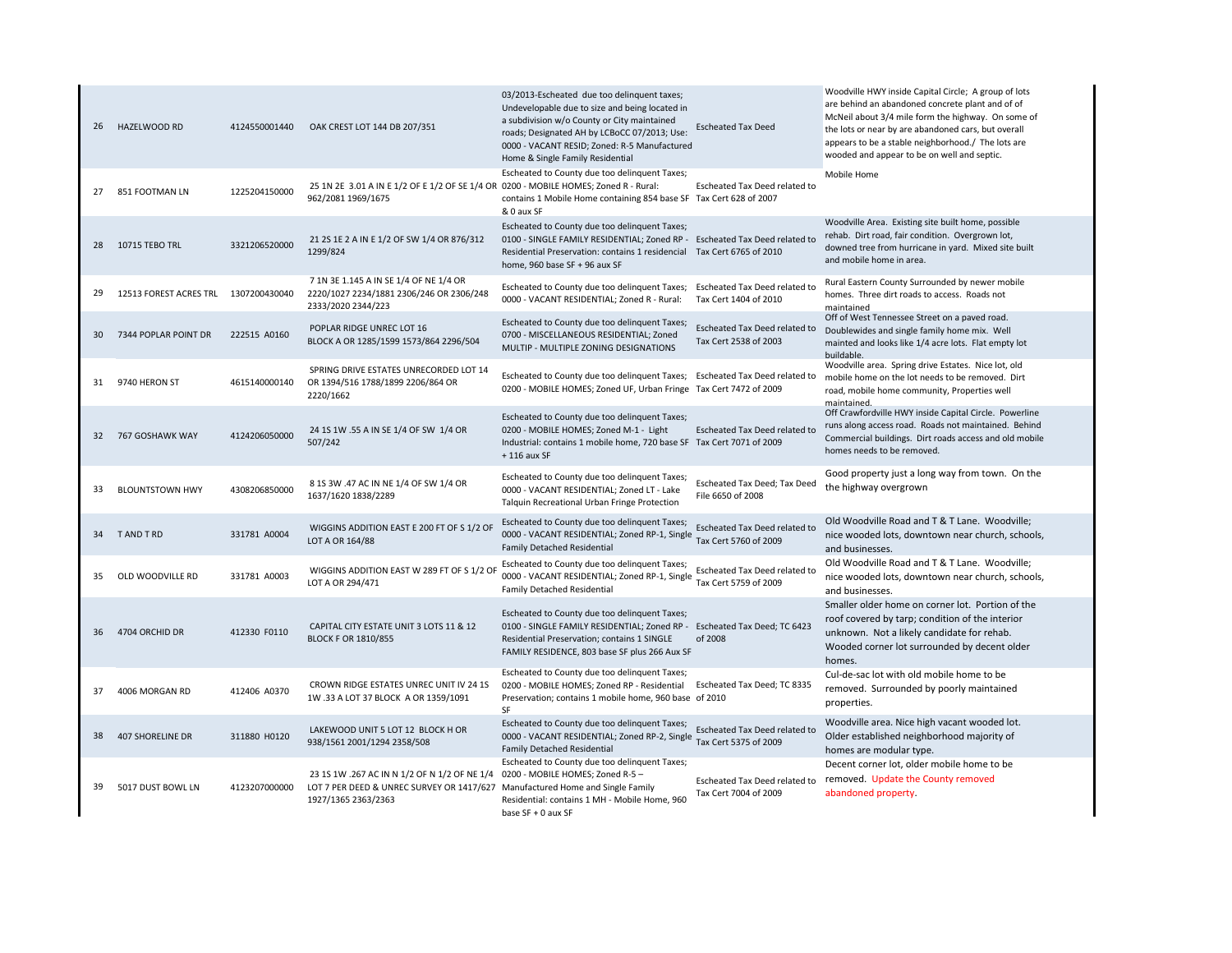| 26 | HAZELWOOD RD                          | 4124550001440 | OAK CREST LOT 144 DB 207/351                                                                                                                         | 03/2013-Escheated due too delinquent taxes;<br>Undevelopable due to size and being located in<br>a subdivision w/o County or City maintained<br>roads; Designated AH by LCBoCC 07/2013; Use:<br>0000 - VACANT RESID; Zoned: R-5 Manufactured<br>Home & Single Family Residential | <b>Escheated Tax Deed</b>                              | Woodville HWY inside Capital Circle; A group of lots<br>are behind an abandoned concrete plant and of of<br>McNeil about 3/4 mile form the highway. On some of<br>the lots or near by are abandoned cars, but overall<br>appears to be a stable neighborhood./ The lots are<br>wooded and appear to be on well and septic. |
|----|---------------------------------------|---------------|------------------------------------------------------------------------------------------------------------------------------------------------------|----------------------------------------------------------------------------------------------------------------------------------------------------------------------------------------------------------------------------------------------------------------------------------|--------------------------------------------------------|----------------------------------------------------------------------------------------------------------------------------------------------------------------------------------------------------------------------------------------------------------------------------------------------------------------------------|
| 27 | 851 FOOTMAN LN                        | 1225204150000 | 25 1N 2E 3.01 A IN E 1/2 OF E 1/2 OF SE 1/4 OR 0200 - MOBILE HOMES; Zoned R - Rural:<br>962/2081 1969/1675                                           | Escheated to County due too delinquent Taxes;<br>contains 1 Mobile Home containing 854 base SF Tax Cert 628 of 2007<br>& 0 aux SF                                                                                                                                                | Escheated Tax Deed related to                          | Mobile Home                                                                                                                                                                                                                                                                                                                |
|    | 28 10715 TEBO TRL                     | 3321206520000 | 21 2S 1E 2 A IN E 1/2 OF SW 1/4 OR 876/312<br>1299/824                                                                                               | Escheated to County due too delinquent Taxes;<br>0100 - SINGLE FAMILY RESIDENTIAL; Zoned RP -<br>Residential Preservation: contains 1 residencial Tax Cert 6765 of 2010<br>home, 960 base SF + 96 aux SF                                                                         | <b>Escheated Tax Deed related to</b>                   | Woodville Area. Existing site built home, possible<br>rehab. Dirt road, fair condition. Overgrown lot,<br>downed tree from hurricane in yard. Mixed site built<br>and mobile home in area.                                                                                                                                 |
| 29 | 12513 FOREST ACRES TRL  1307200430040 |               | 7 1N 3E 1.145 A IN SE 1/4 OF NE 1/4 OR<br>2220/1027 2234/1881 2306/246 OR 2306/248<br>2333/2020 2344/223                                             | Escheated to County due too delinquent Taxes; Escheated Tax Deed related to<br>0000 - VACANT RESIDENTIAL; Zoned R - Rural:                                                                                                                                                       | Tax Cert 1404 of 2010                                  | Rural Eastern County Surrounded by newer mobile<br>homes. Three dirt roads to access. Roads not<br>maintained                                                                                                                                                                                                              |
| 30 | 7344 POPLAR POINT DR                  | 222515 A0160  | POPLAR RIDGE UNREC LOT 16<br>BLOCK A OR 1285/1599 1573/864 2296/504                                                                                  | Escheated to County due too delinquent Taxes;<br>0700 - MISCELLANEOUS RESIDENTIAL; Zoned<br>MULTIP - MULTIPLE ZONING DESIGNATIONS                                                                                                                                                | Escheated Tax Deed related to<br>Tax Cert 2538 of 2003 | Off of West Tennessee Street on a paved road.<br>Doublewides and single family home mix. Well<br>mainted and looks like 1/4 acre lots. Flat empty lot<br>buildable.                                                                                                                                                        |
| 31 | 9740 HERON ST                         | 4615140000140 | SPRING DRIVE ESTATES UNRECORDED LOT 14<br>OR 1394/516 1788/1899 2206/864 OR<br>2220/1662                                                             | Escheated to County due too delinquent Taxes; Escheated Tax Deed related to<br>0200 - MOBILE HOMES; Zoned UF, Urban Fringe Tax Cert 7472 of 2009                                                                                                                                 |                                                        | Woodville area. Spring drive Estates. Nice lot, old<br>mobile home on the lot needs to be removed. Dirt<br>road, mobile home community, Properties well<br>maintained                                                                                                                                                      |
| 32 | 767 GOSHAWK WAY                       | 4124206050000 | 24 15 1W .55 A IN SE 1/4 OF SW 1/4 OR<br>507/242                                                                                                     | Escheated to County due too delinquent Taxes;<br>0200 - MOBILE HOMES; Zoned M-1 - Light<br>Industrial: contains 1 mobile home, 720 base SF Tax Cert 7071 of 2009<br>$+116$ aux SF                                                                                                | Escheated Tax Deed related to                          | Off Crawfordville HWY inside Capital Circle. Powerline<br>runs along access road. Roads not maintained. Behind<br>Commercial buildings. Dirt roads access and old mobile<br>homes needs to be removed.                                                                                                                     |
| 33 | <b>BLOUNTSTOWN HWY</b>                | 4308206850000 | 8 15 3W .47 AC IN NE 1/4 OF SW 1/4 OR<br>1637/1620 1838/2289                                                                                         | Escheated to County due too delinquent Taxes;<br>0000 - VACANT RESIDENTIAL; Zoned LT - Lake<br>Talquin Recreational Urban Fringe Protection                                                                                                                                      | Escheated Tax Deed; Tax Deed<br>File 6650 of 2008      | Good property just a long way from town. On the<br>the highway overgrown                                                                                                                                                                                                                                                   |
| 34 | T AND T RD                            | 331781 A0004  | WIGGINS ADDITION EAST E 200 FT OF S 1/2 OF<br>LOT A OR 164/88                                                                                        | Escheated to County due too delinquent Taxes;<br>0000 - VACANT RESIDENTIAL; Zoned RP-1, Single<br><b>Family Detached Residential</b>                                                                                                                                             | Escheated Tax Deed related to<br>Tax Cert 5760 of 2009 | Old Woodville Road and T & T Lane. Woodville;<br>nice wooded lots, downtown near church, schools,<br>and businesses.                                                                                                                                                                                                       |
| 35 | OLD WOODVILLE RD                      | 331781 A0003  | WIGGINS ADDITION EAST W 289 FT OF S 1/2 OF<br>LOT A OR 294/471                                                                                       | Escheated to County due too delinquent Taxes;<br>0000 - VACANT RESIDENTIAL; Zoned RP-1, Single<br><b>Family Detached Residential</b>                                                                                                                                             | Escheated Tax Deed related to<br>Tax Cert 5759 of 2009 | Old Woodville Road and T & T Lane. Woodville;<br>nice wooded lots, downtown near church, schools,<br>and businesses.                                                                                                                                                                                                       |
| 36 | 4704 ORCHID DR                        | 412330 F0110  | CAPITAL CITY ESTATE UNIT 3 LOTS 11 & 12<br><b>BLOCK F OR 1810/855</b>                                                                                | Escheated to County due too delinquent Taxes;<br>0100 - SINGLE FAMILY RESIDENTIAL; Zoned RP - Escheated Tax Deed; TC 6423<br>Residential Preservation; contains 1 SINGLE<br>FAMILY RESIDENCE, 803 base SF plus 266 Aux SF                                                        | of 2008                                                | Smaller older home on corner lot. Portion of the<br>roof covered by tarp; condition of the interior<br>unknown. Not a likely candidate for rehab.<br>Wooded corner lot surrounded by decent older<br>homes.                                                                                                                |
| 37 | 4006 MORGAN RD                        | 412406 A0370  | CROWN RIDGE ESTATES UNREC UNIT IV 24 1S<br>1W .33 A LOT 37 BLOCK A OR 1359/1091                                                                      | Escheated to County due too delinquent Taxes;<br>0200 - MOBILE HOMES; Zoned RP - Residential<br>Preservation; contains 1 mobile home, 960 base of 2010<br>SF                                                                                                                     | Escheated Tax Deed; TC 8335                            | Cul-de-sac lot with old mobile home to be<br>removed. Surrounded by poorly maintained<br>properties.                                                                                                                                                                                                                       |
| 38 | <b>407 SHORELINE DR</b>               | 311880 H0120  | LAKEWOOD UNIT 5 LOT 12 BLOCK H OR<br>938/1561 2001/1294 2358/508                                                                                     | Escheated to County due too delinquent Taxes;<br>0000 - VACANT RESIDENTIAL; Zoned RP-2, Single<br><b>Family Detached Residential</b>                                                                                                                                             | Escheated Tax Deed related to<br>Tax Cert 5375 of 2009 | Woodville area. Nice high vacant wooded lot.<br>Older established neighborhood majority of<br>homes are modular type.                                                                                                                                                                                                      |
| 39 | 5017 DUST BOWL LN                     | 4123207000000 | 23 15 1W .267 AC IN N 1/2 OF N 1/2 OF NE 1/4<br>LOT 7 PER DEED & UNREC SURVEY OR 1417/627 Manufactured Home and Single Family<br>1927/1365 2363/2363 | Escheated to County due too delinquent Taxes;<br>0200 - MOBILE HOMES; Zoned R-5 -<br>Residential: contains 1 MH - Mobile Home, 960<br>base SF + 0 aux SF                                                                                                                         | Escheated Tax Deed related to<br>Tax Cert 7004 of 2009 | Decent corner lot, older mobile home to be<br>removed. Update the County removed<br>abandoned property.                                                                                                                                                                                                                    |